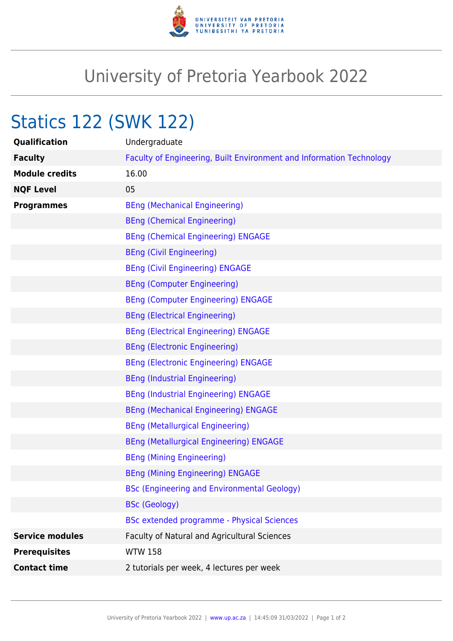

## University of Pretoria Yearbook 2022

## Statics 122 (SWK 122)

| Qualification          | Undergraduate                                                        |
|------------------------|----------------------------------------------------------------------|
| <b>Faculty</b>         | Faculty of Engineering, Built Environment and Information Technology |
| <b>Module credits</b>  | 16.00                                                                |
| <b>NQF Level</b>       | 05                                                                   |
| <b>Programmes</b>      | <b>BEng (Mechanical Engineering)</b>                                 |
|                        | <b>BEng (Chemical Engineering)</b>                                   |
|                        | <b>BEng (Chemical Engineering) ENGAGE</b>                            |
|                        | <b>BEng (Civil Engineering)</b>                                      |
|                        | <b>BEng (Civil Engineering) ENGAGE</b>                               |
|                        | <b>BEng (Computer Engineering)</b>                                   |
|                        | <b>BEng (Computer Engineering) ENGAGE</b>                            |
|                        | <b>BEng (Electrical Engineering)</b>                                 |
|                        | <b>BEng (Electrical Engineering) ENGAGE</b>                          |
|                        | <b>BEng (Electronic Engineering)</b>                                 |
|                        | <b>BEng (Electronic Engineering) ENGAGE</b>                          |
|                        | <b>BEng (Industrial Engineering)</b>                                 |
|                        | <b>BEng (Industrial Engineering) ENGAGE</b>                          |
|                        | <b>BEng (Mechanical Engineering) ENGAGE</b>                          |
|                        | <b>BEng (Metallurgical Engineering)</b>                              |
|                        | <b>BEng (Metallurgical Engineering) ENGAGE</b>                       |
|                        | <b>BEng (Mining Engineering)</b>                                     |
|                        | <b>BEng (Mining Engineering) ENGAGE</b>                              |
|                        | <b>BSc (Engineering and Environmental Geology)</b>                   |
|                        | <b>BSc (Geology)</b>                                                 |
|                        | <b>BSc extended programme - Physical Sciences</b>                    |
| <b>Service modules</b> | Faculty of Natural and Agricultural Sciences                         |
| <b>Prerequisites</b>   | <b>WTW 158</b>                                                       |
| <b>Contact time</b>    | 2 tutorials per week, 4 lectures per week                            |
|                        |                                                                      |